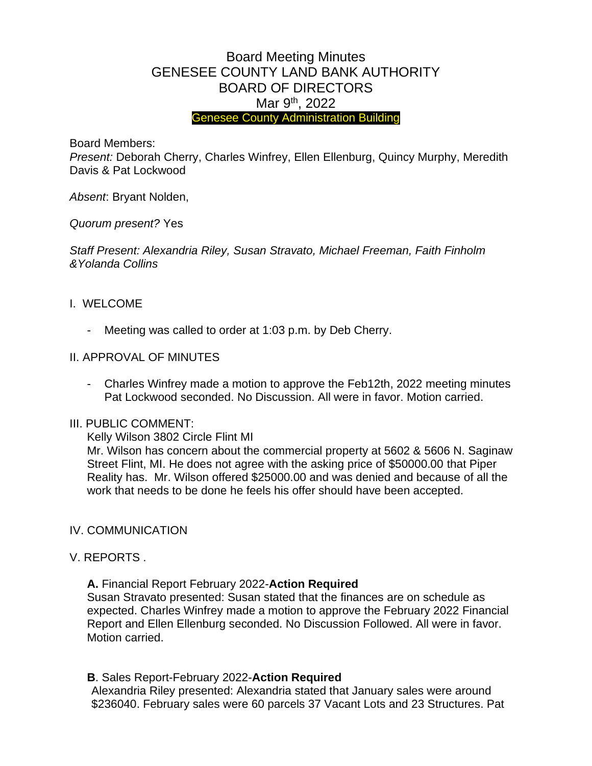# Board Meeting Minutes GENESEE COUNTY LAND BANK AUTHORITY BOARD OF DIRECTORS Mar 9<sup>th</sup>, 2022 Genesee County Administration Building

Board Members:

*Present:* Deborah Cherry, Charles Winfrey, Ellen Ellenburg, Quincy Murphy, Meredith Davis & Pat Lockwood

*Absent*: Bryant Nolden,

*Quorum present?* Yes

*Staff Present: Alexandria Riley, Susan Stravato, Michael Freeman, Faith Finholm &Yolanda Collins*

## I. WELCOME

Meeting was called to order at 1:03 p.m. by Deb Cherry.

## II. APPROVAL OF MINUTES

- Charles Winfrey made a motion to approve the Feb12th, 2022 meeting minutes Pat Lockwood seconded. No Discussion. All were in favor. Motion carried.

#### III. PUBLIC COMMENT:

Kelly Wilson 3802 Circle Flint MI

Mr. Wilson has concern about the commercial property at 5602 & 5606 N. Saginaw Street Flint, MI. He does not agree with the asking price of \$50000.00 that Piper Reality has. Mr. Wilson offered \$25000.00 and was denied and because of all the work that needs to be done he feels his offer should have been accepted.

#### IV. COMMUNICATION

#### V. REPORTS .

**A.** Financial Report February 2022-**Action Required** 

Susan Stravato presented: Susan stated that the finances are on schedule as expected. Charles Winfrey made a motion to approve the February 2022 Financial Report and Ellen Ellenburg seconded. No Discussion Followed. All were in favor. Motion carried.

**B**. Sales Report-February 2022-**Action Required**

Alexandria Riley presented: Alexandria stated that January sales were around \$236040. February sales were 60 parcels 37 Vacant Lots and 23 Structures. Pat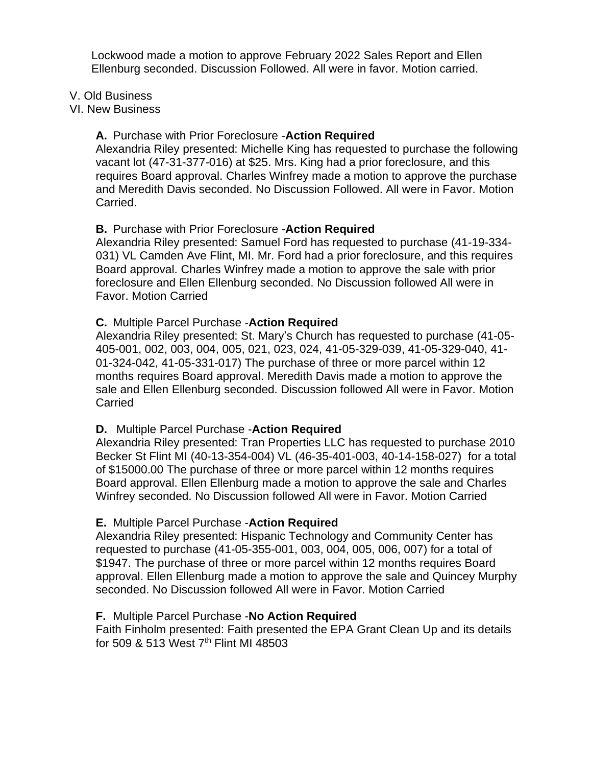Lockwood made a motion to approve February 2022 Sales Report and Ellen Ellenburg seconded. Discussion Followed. All were in favor. Motion carried.

#### V. Old Business

#### VI. New Business

#### **A.** Purchase with Prior Foreclosure -**Action Required**

Alexandria Riley presented: Michelle King has requested to purchase the following vacant lot (47-31-377-016) at \$25. Mrs. King had a prior foreclosure, and this requires Board approval. Charles Winfrey made a motion to approve the purchase and Meredith Davis seconded. No Discussion Followed. All were in Favor. Motion Carried.

## **B.** Purchase with Prior Foreclosure -**Action Required**

Alexandria Riley presented: Samuel Ford has requested to purchase (41-19-334- 031) VL Camden Ave Flint, MI. Mr. Ford had a prior foreclosure, and this requires Board approval. Charles Winfrey made a motion to approve the sale with prior foreclosure and Ellen Ellenburg seconded. No Discussion followed All were in Favor. Motion Carried

## **C.** Multiple Parcel Purchase -**Action Required**

Alexandria Riley presented: St. Mary's Church has requested to purchase (41-05- 405-001, 002, 003, 004, 005, 021, 023, 024, 41-05-329-039, 41-05-329-040, 41- 01-324-042, 41-05-331-017) The purchase of three or more parcel within 12 months requires Board approval. Meredith Davis made a motion to approve the sale and Ellen Ellenburg seconded. Discussion followed All were in Favor. Motion Carried

## **D.** Multiple Parcel Purchase -**Action Required**

Alexandria Riley presented: Tran Properties LLC has requested to purchase 2010 Becker St Flint MI (40-13-354-004) VL (46-35-401-003, 40-14-158-027) for a total of \$15000.00 The purchase of three or more parcel within 12 months requires Board approval. Ellen Ellenburg made a motion to approve the sale and Charles Winfrey seconded. No Discussion followed All were in Favor. Motion Carried

## **E.** Multiple Parcel Purchase -**Action Required**

Alexandria Riley presented: Hispanic Technology and Community Center has requested to purchase (41-05-355-001, 003, 004, 005, 006, 007) for a total of \$1947. The purchase of three or more parcel within 12 months requires Board approval. Ellen Ellenburg made a motion to approve the sale and Quincey Murphy seconded. No Discussion followed All were in Favor. Motion Carried

## **F.** Multiple Parcel Purchase -**No Action Required**

Faith Finholm presented: Faith presented the EPA Grant Clean Up and its details for 509 & 513 West 7<sup>th</sup> Flint MI 48503